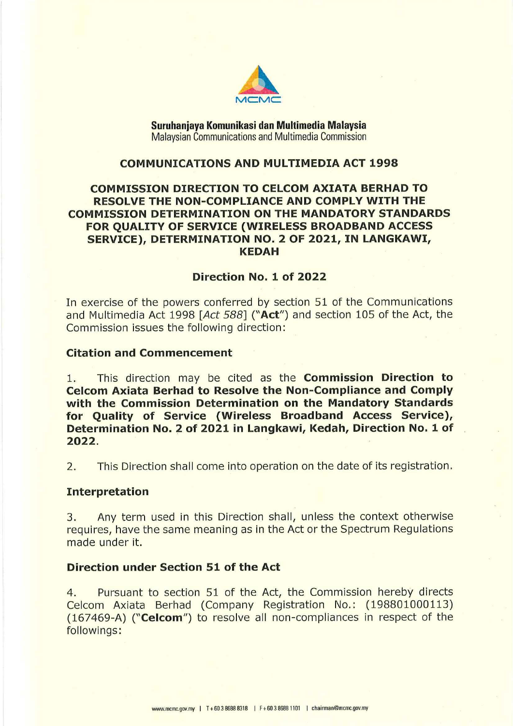

**Suruhanjaya Komunikasi dan Multimedia Malaysia**  Malaysian Communications and Multimedia Commission

## **COMMUNICATIONS AND MULTIMEDIA ACT 1998**

# **COMMISSION DIRECTION TO CELCOM AXIATA BERHAD TO RESOLVE THE NON-COMPLIANCE AND COMPLY WITH THE COMMISSION DETERMINATION ON THE MANDATORY STANDARDS FOR QUALITY OF SERVICE (WIRELESS BROADBAND ACCESS SERVICE), DETERMINATION NO. 2 OF 2021, IN LANGKAWI, KEDAH**

# **Direction No. 1 of 2022**

In exercise of the powers conferred by section 51 of the Communications and Multimedia Act 1998 *[Act 588]* **("Act")** and section 105 of the Act, the Commission issues the following direction:

### **Citation and Commencement**

1. This direction may be cited as the **Commission Direction to Celcom Axiata Berhad to Resolve the Non-Compliance and Comply with the Commission Determination on the Mandatory Standards for Quality of Service (Wireless Broadband Access Service), Determination No. 2 of 2021 in Langkawi, Kedah, Direction No. 1 of 2022.** 

2. This Direction shall come into operation on the date of its registration.

#### **Interpretation**

3. Any term used in this Direction shall, unless the context otherwise requires, have the same meaning as in the Act or the Spectrum Regulations made under it.

# **Direction under Section 51 of the Act**

4. Pursuant to section 51 of the Act, the Commission hereby directs Celcom Axiata Berhad (Company Registration No.: (198801000113) (167469-A) **("Celcom")** to resolve all non-compliances in respect of the followings: